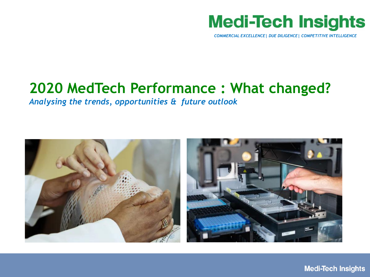# **Medi-Tech Insights**

*COMMERCIAL EXCELLENCE| DUE DILIGENCE| COMPETITIVE INTELLIGENCE*

# **2020 MedTech Performance : What changed?**

*Analysing the trends, opportunities & future outlook*

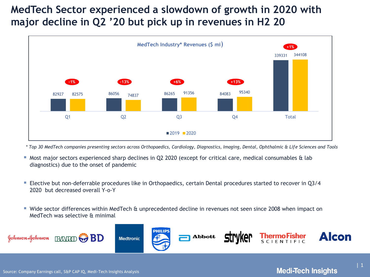### **MedTech Sector experienced a slowdown of growth in 2020 with major decline in Q2 '20 but pick up in revenues in H2 20**



*\* Top 30 MedTech companies presenting sectors across Orthopaedics, Cardiology, Diagnostics, Imaging, Dental, Ophthalmic & Life Sciences and Tools* 

- Most major sectors experienced sharp declines in Q2 2020 (except for critical care, medical consumables & lab diagnostics) due to the onset of pandemic
- Elective but non-deferrable procedures like in Orthopaedics, certain Dental procedures started to recover in Q3/4 2020 but decreased overall Y-o-Y
- Wide sector differences within MedTech & unprecedented decline in revenues not seen since 2008 when impact on MedTech was selective & minimal



| 1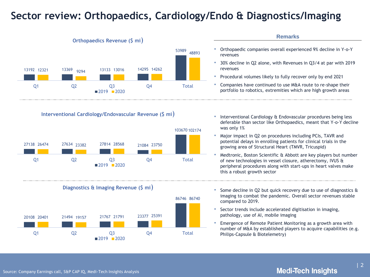### **Sector review: Orthopaedics, Cardiology/Endo & Diagnostics/Imaging**



**Interventional Cardiology/Endovascular Revenue (\$ mi**)







| • Orthopaedic companies overall experienced 9% decline in Y-o-Y |
|-----------------------------------------------------------------|
| revenues                                                        |

**Remarks**

- 30% decline in Q2 alone, with Revenues in Q3/4 at par with 2019 revenues
- Procedural volumes likely to fully recover only by end 2021
- Companies have continued to use M&A route to re-shape their portfolio to robotics, extremities which are high growth areas
- Interventional Cardiology & Endovascular procedures being less deferable than sector like Orthopaedics, meant that Y-o-Y decline was only 1%
- Major impact in Q2 on procedures including PCIs, TAVR and potential delays in enrolling patients for clinical trials in the growing area of Structural Heart (TMVR, Tricuspid)
- Medtronic, Boston Scientific & Abbott are key players but number of new technologies in vessel closure, atherectomy, IVUS & peripheral procedures along with start-ups in heart valves make this a robust growth sector
- Some decline in Q2 but quick recovery due to use of diagnostics & imaging to combat the pandemic. Overall sector revenues stable compared to 2019.
- Sector trends include accelerated digitisation in imaging, pathology, use of AI, mobile imaging
- Emergence of Remote Patient Monitoring as a growth area with number of M&A by established players to acquire capabilities (e.g. Philips-Capsule & Biotelemetry)

#### Source: Company Earnings call, S&P CAP IQ, Medi-Tech Insights Analysis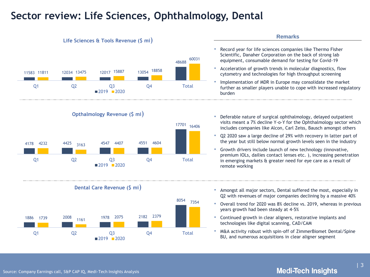### **Sector review: Life Sciences, Ophthalmology, Dental**



- technologies like digital scanning, CAD/CAM
- M&A activity robust with spin-off of ZimmerBiomet Dental/Spine BU, and numerous acquisitions in clear aligner segment

Q1 Q2 Q3 Q4 Total

 $2019$   $2020$ 

### **Medi-Tech Insights**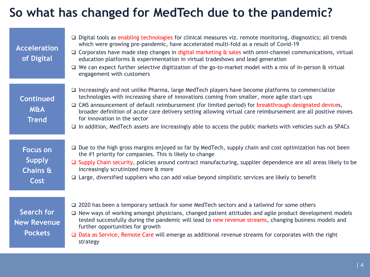# **So what has changed for MedTech due to the pandemic?**

| <b>Acceleration</b><br>of Digital                    | $\Box$ Digital tools as enabling technologies for clinical measures viz. remote monitoring, diagnostics; all trends<br>which were growing pre-pandemic, have accelerated multi-fold as a result of Covid-19<br>$\Box$ Corporates have made step changes in digital marketing $\alpha$ sales with omni-channel communications, virtual<br>education platforms & experimentation in virtual tradeshows and lead generation<br>$\Box$ We can expect further selective digitization of the go-to-market model with a mix of in-person & virtual<br>engagement with customers             |
|------------------------------------------------------|--------------------------------------------------------------------------------------------------------------------------------------------------------------------------------------------------------------------------------------------------------------------------------------------------------------------------------------------------------------------------------------------------------------------------------------------------------------------------------------------------------------------------------------------------------------------------------------|
| <b>Continued</b><br><b>M&amp;A</b><br><b>Trend</b>   | $\Box$ Increasingly and not unlike Pharma, large MedTech players have become platforms to commercialize<br>technologies with increasing share of innovations coming from smaller, more agile start-ups<br>□ CMS announcement of default reimbursement (for limited period) for breakthrough-designated devices,<br>broader definition of acute care delivery setting allowing virtual care reimbursement are all positive moves<br>for innovation in the sector<br>$\Box$ In addition, MedTech assets are increasingly able to access the public markets with vehicles such as SPACs |
| <b>Focus on</b><br><b>Supply</b><br>Chains &<br>Cost | $\Box$ Due to the high gross margins enjoyed so far by MedTech, supply chain and cost optimization has not been<br>the #1 priority for companies. This is likely to change<br>□ Supply Chain security, policies around contract manufacturing, supplier dependence are all areas likely to be<br>increasingly scrutinized more & more<br>$\Box$ Large, diversified suppliers who can add value beyond simplistic services are likely to benefit                                                                                                                                      |
| Search for<br><b>New Revenue</b><br><b>Pockets</b>   | □ 2020 has been a temporary setback for some MedTech sectors and a tailwind for some others<br>□ New ways of working amongst physicians, changed patient attitudes and agile product development models<br>tested successfully during the pandemic will lead to new revenue streams, changing business models and<br>further opportunities for growth<br>□ Data as Service, Remote Care will emerge as additional revenue streams for corporates with the right<br>strategy                                                                                                          |